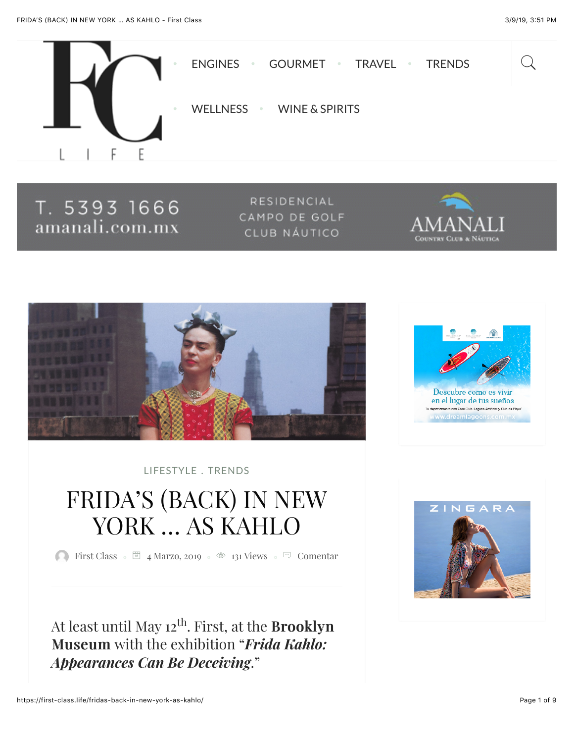

T. 5393 1666 amanali.com.mx

RESIDENCIAL CAMPO DE GOLF CLUB NÁUTICO





[LIFESTYLE](https://first-class.life/category/lifestyle/) . [TRENDS](https://first-class.life/category/trends/)

# FRIDA'S (BACK) IN NEW YORK … AS KAHLO

**[First Class](https://first-class.life/author/first-class/)**  $\circ$  **E** 4 Marzo, 2019  $\circ$  **2** [131 Views](https://first-class.life/fridas-back-in-new-york-as-kahlo/)  $\circ$  **E** Comentar

At least until May 12<sup>th</sup>. First, at the **Brooklyn** Museum with the exhibition "*Frida Kahlo: Appearances Can Be Deceiving*."



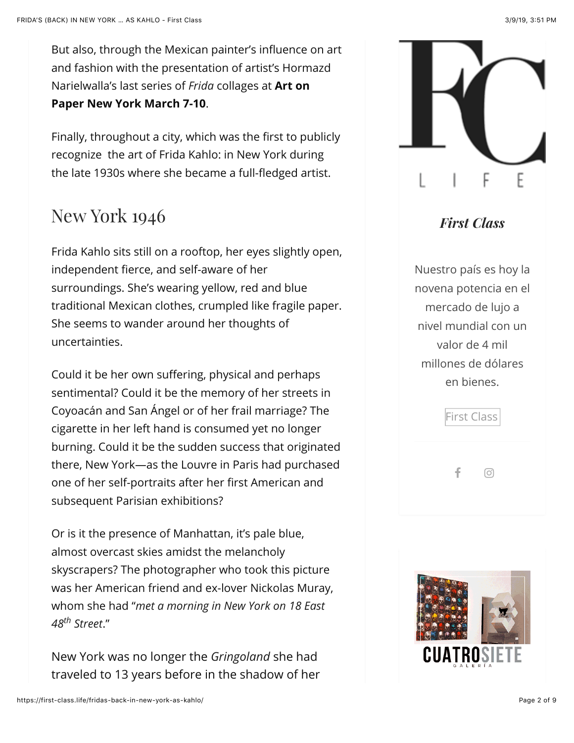But also, through the Mexican painter's influence on art and fashion with the presentation of artist's Hormazd Narielwalla's last series of *Frida* collages at **Art on Paper New York March 7-10**.

Finally, throughout a city, which was the first to publicly recognize the art of Frida Kahlo: in New York during the late 1930s where she became a full-fledged artist.

### New York 1946

Frida Kahlo sits still on a rooftop, her eyes slightly open, independent fierce, and self-aware of her surroundings. She's wearing yellow, red and blue traditional Mexican clothes, crumpled like fragile paper. She seems to wander around her thoughts of uncertainties.

Could it be her own suffering, physical and perhaps sentimental? Could it be the memory of her streets in Coyoacán and San Ángel or of her frail marriage? The cigarette in her left hand is consumed yet no longer burning. Could it be the sudden success that originated there, New York—as the Louvre in Paris had purchased one of her self-portraits after her first American and subsequent Parisian exhibitions?

Or is it the presence of Manhattan, it's pale blue, almost overcast skies amidst the melancholy skyscrapers? The photographer who took this picture was her American friend and ex-lover Nickolas Muray, whom she had " *met a morning in New York on 18 East* 48<sup>th</sup> Street."

New York was no longer the G*ringoland* she had traveled to 13 years before in the shadow of her



### *First Class*

Nuestro país es hoy la novena potencia en el mercado de lujo a nivel mundial con un valor de 4 mil millones de dólares en bienes.

|   | First Class |  |
|---|-------------|--|
| ÷ | Ο           |  |

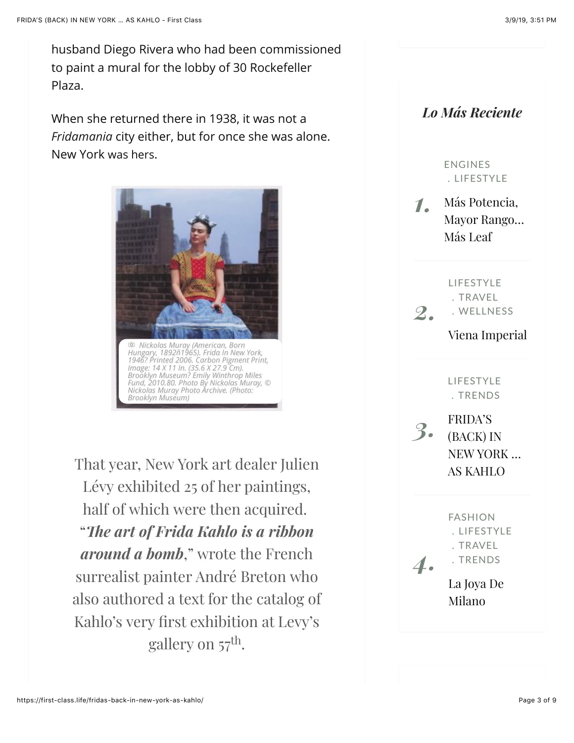When she returned there in 1938, it was not a *Fridamania* city either, but for once she was alone. New York was hers.



That year, New York art dealer Julien Lévy exhibited 25 of her paintings, half of which were then acquired. " *!e art of Frida Kahlo is a ribbon around a bomb,*" wrote the French surrealist painter André Breton who also authored a text for the catalog of Kahlo's very first exhibition at Levy's gallery on  $57^{\text{th}}$ .

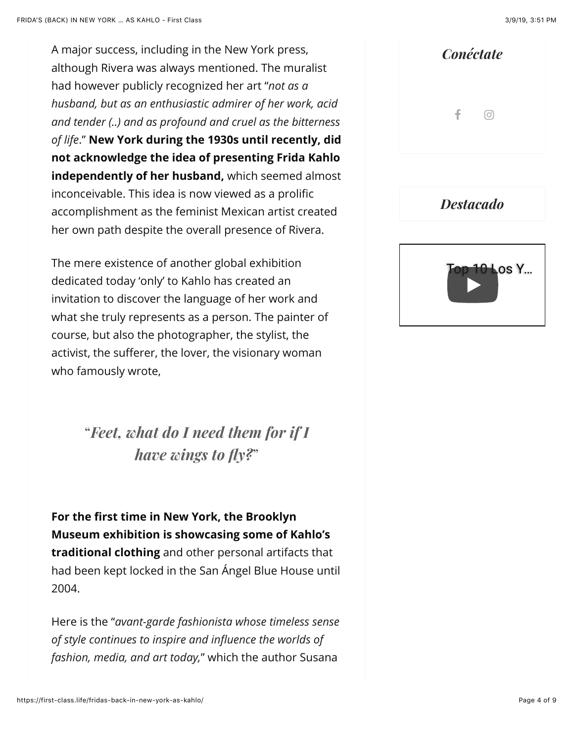A major success, including in the New York press, although Rivera was always mentioned. The muralist had however publicly recognized her art " *not as a* ." **New York during the 1930s until recently, did** *of life* **not acknowledge the idea of presenting Frida Kahlo independently of her husband,** which seemed almost inconceivable. This idea is now viewed as a prolific accomplishment as the feminist Mexican artist created her own path despite the overall presence of Rivera. *husband, but as an enthusiastic admirer of her work, acid and tender (..) and as profound and cruel as the bitterness*

The mere existence of another global exhibition dedicated today 'only' to Kahlo has created an invitation to discover the language of her work and what she truly represents as a person. The painter of course, but also the photographer, the stylist, the activist, the sufferer, the lover, the visionary woman who famously wrote,

> " *Feet, what do I need them for if I* " *have wings to fly?*

**For the first time in New York, the Brooklyn Museum exhibition is showcasing some of Kahlo's traditional clothing** and other personal artifacts that had been kept locked in the San Ángel Blue House until 2004.

Here is the " *avant-garde fashionista whose timeless sense fashion, media, and art today,*" which the author Susana *of style continues to inspire and influence the worlds of*



*Destacado*

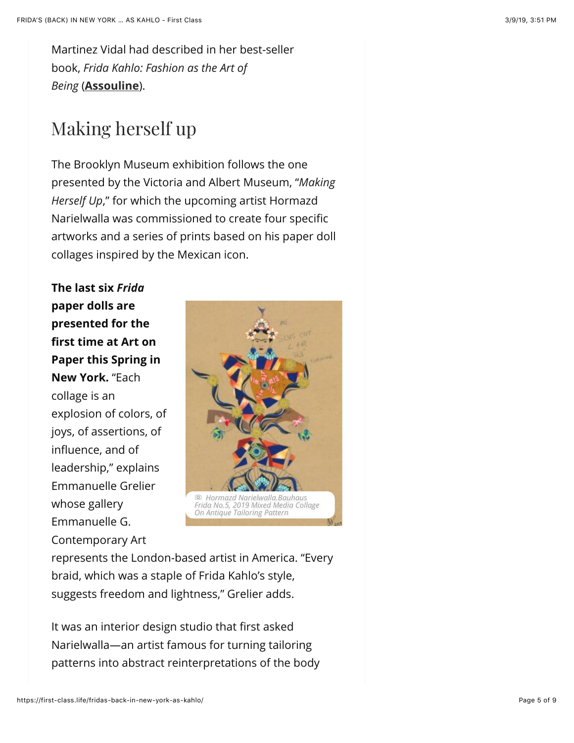Martinez Vidal had described in her best-seller book, *Frida Kahlo: Fashion as the Art of* (**[Assouline](https://www.assouline.com/products/frida-kahlo-fashion-as-the-art-of-being)**). *Being*

## Making herself up

The Brooklyn Museum exhibition follows the one presented by the Victoria and Albert Museum, " *Making* Herself Up," for which the upcoming artist Hormazd Narielwalla was commissioned to create four specific artworks and a series of prints based on his paper doll collages inspired by the Mexican icon.

**The last six**  *Frida***paper dolls are presented for the first time at Art on Paper this Spring in New York.** "Each collage is an explosion of colors, of joys, of assertions, of influence, and of leadership," explains Emmanuelle Grelier whose gallery Emmanuelle G. Contemporary Art



represents the London-based artist in America. "Every braid, which was a staple of Frida Kahlo's style, suggests freedom and lightness," Grelier adds.

It was an interior design studio that first asked Narielwalla—an artist famous for turning tailoring patterns into abstract reinterpretations of the body